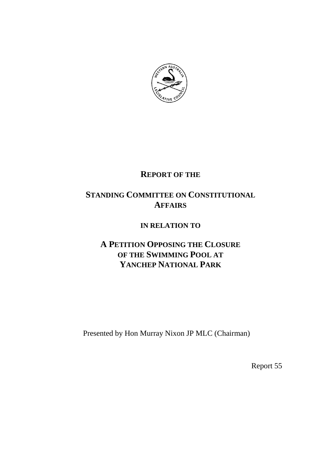

# **REPORT OF THE**

# **STANDING COMMITTEE ON CONSTITUTIONAL AFFAIRS**

## **IN RELATION TO**

# **A PETITION OPPOSING THE CLOSURE OF THE SWIMMING POOL AT YANCHEP NATIONAL PARK**

Presented by Hon Murray Nixon JP MLC (Chairman)

Report 55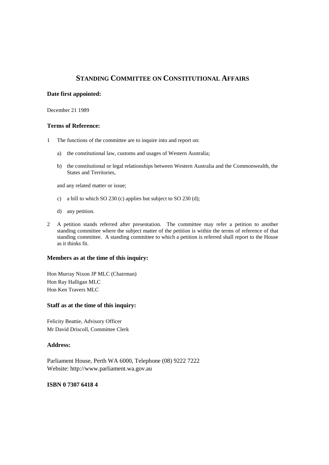## **STANDING COMMITTEE ON CONSTITUTIONAL AFFAIRS**

#### **Date first appointed:**

December 21 1989

#### **Terms of Reference:**

- 1 The functions of the committee are to inquire into and report on:
	- a) the constitutional law, customs and usages of Western Australia;
	- b) the constitutional or legal relationships between Western Australia and the Commonwealth, the States and Territories,

and any related matter or issue;

- c) a bill to which SO 230 (c) applies but subject to SO 230 (d);
- d) any petition.
- 2 A petition stands referred after presentation. The committee may refer a petition to another standing committee where the subject matter of the petition is within the terms of reference of that standing committee. A standing committee to which a petition is referred shall report to the House as it thinks fit.

#### **Members as at the time of this inquiry:**

Hon Murray Nixon JP MLC (Chairman) Hon Ray Halligan MLC Hon Ken Travers MLC

#### **Staff as at the time of this inquiry:**

Felicity Beattie, Advisory Officer Mr David Driscoll, Committee Clerk

#### **Address:**

Parliament House, Perth WA 6000, Telephone (08) 9222 7222 Website: http://www.parliament.wa.gov.au

#### **ISBN 0 7307 6418 4**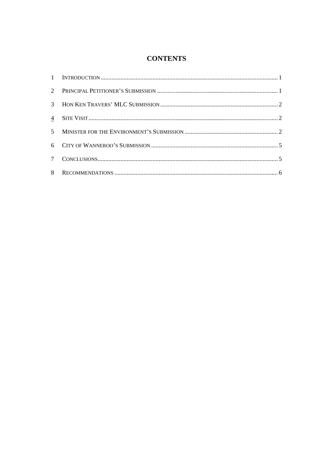## **CONTENTS**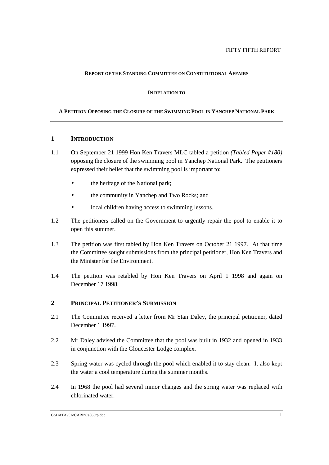#### **REPORT OF THE STANDING COMMITTEE ON CONSTITUTIONAL AFFAIRS**

#### **IN RELATION TO**

#### **A PETITION OPPOSING THE CLOSURE OF THE SWIMMING POOL IN YANCHEP NATIONAL PARK**

#### **1 INTRODUCTION**

- 1.1 On September 21 1999 Hon Ken Travers MLC tabled a petition *(Tabled Paper #180)* opposing the closure of the swimming pool in Yanchep National Park. The petitioners expressed their belief that the swimming pool is important to:
	- the heritage of the National park;
	- the community in Yanchep and Two Rocks; and
	- local children having access to swimming lessons.
- 1.2 The petitioners called on the Government to urgently repair the pool to enable it to open this summer.
- 1.3 The petition was first tabled by Hon Ken Travers on October 21 1997. At that time the Committee sought submissions from the principal petitioner, Hon Ken Travers and the Minister for the Environment.
- 1.4 The petition was retabled by Hon Ken Travers on April 1 1998 and again on December 17 1998.

#### **2 PRINCIPAL PETITIONER'S SUBMISSION**

- 2.1 The Committee received a letter from Mr Stan Daley, the principal petitioner, dated December 1 1997.
- 2.2 Mr Daley advised the Committee that the pool was built in 1932 and opened in 1933 in conjunction with the Gloucester Lodge complex.
- 2.3 Spring water was cycled through the pool which enabled it to stay clean. It also kept the water a cool temperature during the summer months.
- 2.4 In 1968 the pool had several minor changes and the spring water was replaced with chlorinated water.

G:\DATA\CA\CARP\Ca055rp.doc 1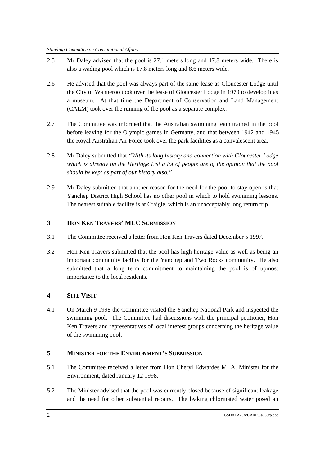- 2.5 Mr Daley advised that the pool is 27.1 meters long and 17.8 meters wide. There is also a wading pool which is 17.8 meters long and 8.6 meters wide.
- 2.6 He advised that the pool was always part of the same lease as Gloucester Lodge until the City of Wanneroo took over the lease of Gloucester Lodge in 1979 to develop it as a museum. At that time the Department of Conservation and Land Management (CALM) took over the running of the pool as a separate complex.
- 2.7 The Committee was informed that the Australian swimming team trained in the pool before leaving for the Olympic games in Germany, and that between 1942 and 1945 the Royal Australian Air Force took over the park facilities as a convalescent area.
- 2.8 Mr Daley submitted that *"With its long history and connection with Gloucester Lodge which is already on the Heritage List a lot of people are of the opinion that the pool should be kept as part of our history also."*
- 2.9 Mr Daley submitted that another reason for the need for the pool to stay open is that Yanchep District High School has no other pool in which to hold swimming lessons. The nearest suitable facility is at Craigie, which is an unacceptably long return trip.

## **3 HON KEN TRAVERS' MLC SUBMISSION**

- 3.1 The Committee received a letter from Hon Ken Travers dated December 5 1997.
- 3.2 Hon Ken Travers submitted that the pool has high heritage value as well as being an important community facility for the Yanchep and Two Rocks community. He also submitted that a long term commitment to maintaining the pool is of upmost importance to the local residents.

## **4 SITE VISIT**

4.1 On March 9 1998 the Committee visited the Yanchep National Park and inspected the swimming pool. The Committee had discussions with the principal petitioner, Hon Ken Travers and representatives of local interest groups concerning the heritage value of the swimming pool.

## **5 MINISTER FOR THE ENVIRONMENT'S SUBMISSION**

- 5.1 The Committee received a letter from Hon Cheryl Edwardes MLA, Minister for the Environment, dated January 12 1998.
- 5.2 The Minister advised that the pool was currently closed because of significant leakage and the need for other substantial repairs. The leaking chlorinated water posed an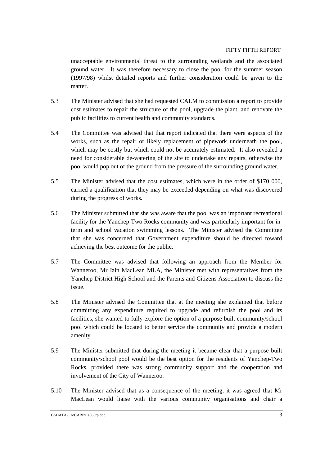unacceptable environmental threat to the surrounding wetlands and the associated ground water. It was therefore necessary to close the pool for the summer season (1997/98) whilst detailed reports and further consideration could be given to the matter.

- 5.3 The Minister advised that she had requested CALM to commission a report to provide cost estimates to repair the structure of the pool, upgrade the plant, and renovate the public facilities to current health and community standards.
- 5.4 The Committee was advised that that report indicated that there were aspects of the works, such as the repair or likely replacement of pipework underneath the pool, which may be costly but which could not be accurately estimated. It also revealed a need for considerable de-watering of the site to undertake any repairs, otherwise the pool would pop out of the ground from the pressure of the surrounding ground water.
- 5.5 The Minister advised that the cost estimates, which were in the order of \$170 000, carried a qualification that they may be exceeded depending on what was discovered during the progress of works.
- 5.6 The Minister submitted that she was aware that the pool was an important recreational facility for the Yanchep-Two Rocks community and was particularly important for interm and school vacation swimming lessons. The Minister advised the Committee that she was concerned that Government expenditure should be directed toward achieving the best outcome for the public.
- 5.7 The Committee was advised that following an approach from the Member for Wanneroo, Mr Iain MacLean MLA, the Minister met with representatives from the Yanchep District High School and the Parents and Citizens Association to discuss the issue.
- 5.8 The Minister advised the Committee that at the meeting she explained that before committing any expenditure required to upgrade and refurbish the pool and its facilities, she wanted to fully explore the option of a purpose built community/school pool which could be located to better service the community and provide a modern amenity.
- 5.9 The Minister submitted that during the meeting it became clear that a purpose built community/school pool would be the best option for the residents of Yanchep-Two Rocks, provided there was strong community support and the cooperation and involvement of the City of Wanneroo.
- 5.10 The Minister advised that as a consequence of the meeting, it was agreed that Mr MacLean would liaise with the various community organisations and chair a

G:\DATA\CA\CARP\Ca055rp.doc 3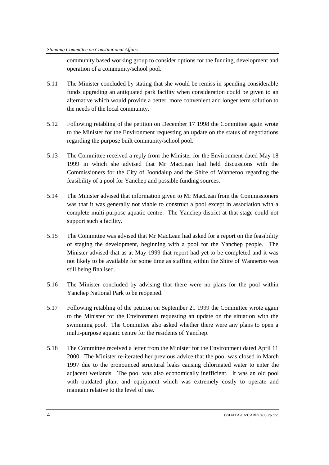community based working group to consider options for the funding, development and operation of a community/school pool.

- 5.11 The Minister concluded by stating that she would be remiss in spending considerable funds upgrading an antiquated park facility when consideration could be given to an alternative which would provide a better, more convenient and longer term solution to the needs of the local community.
- 5.12 Following retabling of the petition on December 17 1998 the Committee again wrote to the Minister for the Environment requesting an update on the status of negotiations regarding the purpose built community/school pool.
- 5.13 The Committee received a reply from the Minister for the Environment dated May 18 1999 in which she advised that Mr MacLean had held discussions with the Commissioners for the City of Joondalup and the Shire of Wanneroo regarding the feasibility of a pool for Yanchep and possible funding sources.
- 5.14 The Minister advised that information given to Mr MacLean from the Commissioners was that it was generally not viable to construct a pool except in association with a complete multi-purpose aquatic centre. The Yanchep district at that stage could not support such a facility.
- 5.15 The Committee was advised that Mr MacLean had asked for a report on the feasibility of staging the development, beginning with a pool for the Yanchep people. The Minister advised that as at May 1999 that report had yet to be completed and it was not likely to be available for some time as staffing within the Shire of Wanneroo was still being finalised.
- 5.16 The Minister concluded by advising that there were no plans for the pool within Yanchep National Park to be reopened.
- 5.17 Following retabling of the petition on September 21 1999 the Committee wrote again to the Minister for the Environment requesting an update on the situation with the swimming pool. The Committee also asked whether there were any plans to open a multi-purpose aquatic centre for the residents of Yanchep.
- 5.18 The Committee received a letter from the Minister for the Environment dated April 11 2000. The Minister re-iterated her previous advice that the pool was closed in March 1997 due to the pronounced structural leaks causing chlorinated water to enter the adjacent wetlands. The pool was also economically inefficient. It was an old pool with outdated plant and equipment which was extremely costly to operate and maintain relative to the level of use.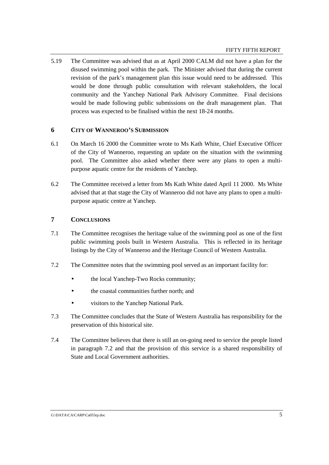5.19 The Committee was advised that as at April 2000 CALM did not have a plan for the disused swimming pool within the park. The Minister advised that during the current revision of the park's management plan this issue would need to be addressed. This would be done through public consultation with relevant stakeholders, the local community and the Yanchep National Park Advisory Committee. Final decisions would be made following public submissions on the draft management plan. That process was expected to be finalised within the next 18-24 months.

### **6 CITY OF WANNEROO'S SUBMISSION**

- 6.1 On March 16 2000 the Committee wrote to Ms Kath White, Chief Executive Officer of the City of Wanneroo, requesting an update on the situation with the swimming pool. The Committee also asked whether there were any plans to open a multipurpose aquatic centre for the residents of Yanchep.
- 6.2 The Committee received a letter from Ms Kath White dated April 11 2000. Ms White advised that at that stage the City of Wanneroo did not have any plans to open a multipurpose aquatic centre at Yanchep.

### **7 CONCLUSIONS**

- 7.1 The Committee recognises the heritage value of the swimming pool as one of the first public swimming pools built in Western Australia. This is reflected in its heritage listings by the City of Wanneroo and the Heritage Council of Western Australia.
- 7.2 The Committee notes that the swimming pool served as an important facility for:
	- the local Yanchep-Two Rocks community;
	- the coastal communities further north; and
	- visitors to the Yanchep National Park.
- 7.3 The Committee concludes that the State of Western Australia has responsibility for the preservation of this historical site.
- 7.4 The Committee believes that there is still an on-going need to service the people listed in paragraph 7.2 and that the provision of this service is a shared responsibility of State and Local Government authorities.